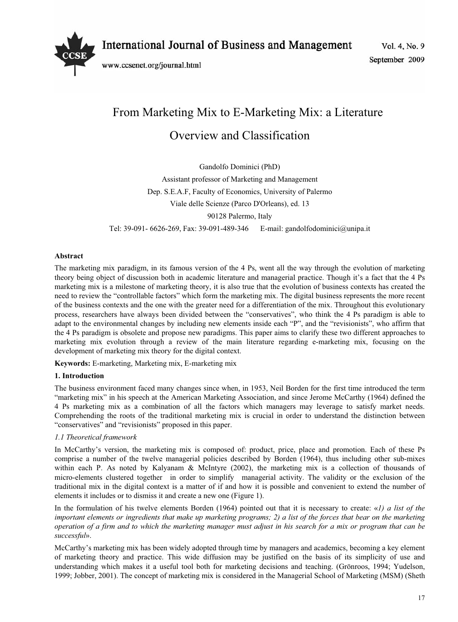

www.ccsenet.org/journal.html

# From Marketing Mix to E-Marketing Mix: a Literature Overview and Classification

Gandolfo Dominici (PhD) Assistant professor of Marketing and Management Dep. S.E.A.F, Faculty of Economics, University of Palermo Viale delle Scienze (Parco D'Orleans), ed. 13 90128 Palermo, Italy Tel: 39-091- 6626-269, Fax: 39-091-489-346 E-mail: gandolfodominici@unipa.it

## **Abstract**

The marketing mix paradigm, in its famous version of the 4 Ps, went all the way through the evolution of marketing theory being object of discussion both in academic literature and managerial practice. Though it's a fact that the 4 Ps marketing mix is a milestone of marketing theory, it is also true that the evolution of business contexts has created the need to review the "controllable factors" which form the marketing mix. The digital business represents the more recent of the business contexts and the one with the greater need for a differentiation of the mix. Throughout this evolutionary process, researchers have always been divided between the "conservatives", who think the 4 Ps paradigm is able to adapt to the environmental changes by including new elements inside each "P", and the "revisionists", who affirm that the 4 Ps paradigm is obsolete and propose new paradigms. This paper aims to clarify these two different approaches to marketing mix evolution through a review of the main literature regarding e-marketing mix, focusing on the development of marketing mix theory for the digital context.

**Keywords:** E-marketing, Marketing mix, E-marketing mix

# **1. Introduction**

The business environment faced many changes since when, in 1953, Neil Borden for the first time introduced the term "marketing mix" in his speech at the American Marketing Association, and since Jerome McCarthy (1964) defined the 4 Ps marketing mix as a combination of all the factors which managers may leverage to satisfy market needs. Comprehending the roots of the traditional marketing mix is crucial in order to understand the distinction between "conservatives" and "revisionists" proposed in this paper.

# *1.1 Theoretical framework*

In McCarthy's version, the marketing mix is composed of: product, price, place and promotion. Each of these Ps comprise a number of the twelve managerial policies described by Borden (1964), thus including other sub-mixes within each P. As noted by Kalyanam & McIntyre (2002), the marketing mix is a collection of thousands of micro-elements clustered together in order to simplify managerial activity. The validity or the exclusion of the traditional mix in the digital context is a matter of if and how it is possible and convenient to extend the number of elements it includes or to dismiss it and create a new one (Figure 1).

In the formulation of his twelve elements Borden (1964) pointed out that it is necessary to create: «*1) a list of the important elements or ingredients that make up marketing programs; 2) a list of the forces that bear on the marketing operation of a firm and to which the marketing manager must adjust in his search for a mix or program that can be successful*».

McCarthy's marketing mix has been widely adopted through time by managers and academics, becoming a key element of marketing theory and practice. This wide diffusion may be justified on the basis of its simplicity of use and understanding which makes it a useful tool both for marketing decisions and teaching. (Grönroos, 1994; Yudelson, 1999; Jobber, 2001). The concept of marketing mix is considered in the Managerial School of Marketing (MSM) (Sheth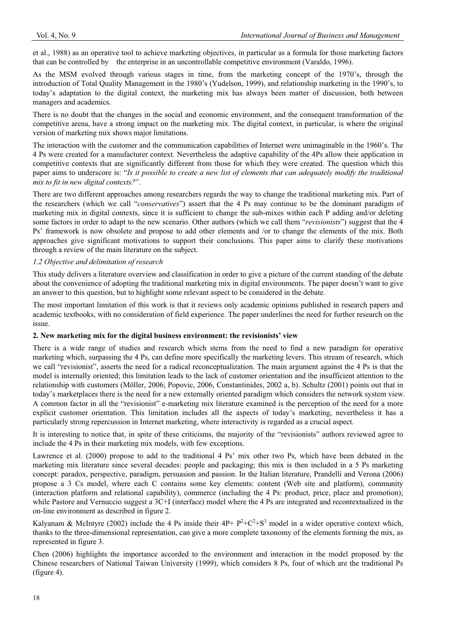et al., 1988) as an operative tool to achieve marketing objectives, in particular as a formula for those marketing factors that can be controlled by the enterprise in an uncontrollable competitive environment (Varaldo, 1996).

As the MSM evolved through various stages in time, from the marketing concept of the 1970's, through the introduction of Total Quality Management in the 1980's (Yudelson, 1999), and relationship marketing in the 1990's, to today's adaptation to the digital context, the marketing mix has always been matter of discussion, both between managers and academics.

There is no doubt that the changes in the social and economic environment, and the consequent transformation of the competitive arena, have a strong impact on the marketing mix. The digital context, in particular, is where the original version of marketing mix shows major limitations.

The interaction with the customer and the communication capabilities of Internet were unimaginable in the 1960's. The 4 Ps were created for a manufacturer context. Nevertheless the adaptive capability of the 4Ps allow their application in competitive contexts that are significantly different from those for which they were created. The question which this paper aims to underscore is: "*Is it possible to create a new list of elements that can adequately modify the traditional mix to fit in new digital contexts?*".

There are two different approaches among researchers regards the way to change the traditional marketing mix. Part of the researchers (which we call "*conservatives*") assert that the 4 Ps may continue to be the dominant paradigm of marketing mix in digital contexts, since it is sufficient to change the sub-mixes within each P adding and/or deleting some factors in order to adapt to the new scenario. Other authors (which we call them "*revisionists*") suggest that the 4 Ps' framework is now obsolete and propose to add other elements and /or to change the elements of the mix. Both approaches give significant motivations to support their conclusions. This paper aims to clarify these motivations through a review of the main literature on the subject.

## *1.2 Objective and delimitation of research*

This study delivers a literature overview and classification in order to give a picture of the current standing of the debate about the convenience of adopting the traditional marketing mix in digital environments. The paper doesn't want to give an answer to this question, but to highlight some relevant aspect to be considered in the debate.

The most important limitation of this work is that it reviews only academic opinions published in research papers and academic textbooks, with no consideration of field experience. The paper underlines the need for further research on the issue.

## **2. New marketing mix for the digital business environment: the revisionists' view**

There is a wide range of studies and research which stems from the need to find a new paradigm for operative marketing which, surpassing the 4 Ps, can define more specifically the marketing levers. This stream of research, which we call "revisionist", asserts the need for a radical reconceptualization. The main argument against the 4 Ps is that the model is internally oriented; this limitation leads to the lack of customer orientation and the insufficient attention to the relationship with customers (Möller, 2006; Popovic, 2006, Constantinides, 2002 a, b). Schultz (2001) points out that in today's marketplaces there is the need for a new externally oriented paradigm which considers the network system view. A common factor in all the "revisionist" e-marketing mix literature examined is the perception of the need for a more explicit customer orientation. This limitation includes all the aspects of today's marketing, nevertheless it has a particularly strong repercussion in Internet marketing, where interactivity is regarded as a crucial aspect.

It is interesting to notice that, in spite of these criticisms, the majority of the "revisionists" authors reviewed agree to include the 4 Ps in their marketing mix models, with few exceptions.

Lawrence et al. (2000) propose to add to the traditional 4 Ps' mix other two Ps, which have been debated in the marketing mix literature since several decades: people and packaging; this mix is then included in a 5 Ps marketing concept: paradox, perspective, paradigm, persuasion and passion. In the Italian literature, Prandelli and Verona (2006) propose a 3 Cs model, where each C contains some key elements: content (Web site and platform), community (interaction platform and relational capability), commerce (including the 4 Ps: product, price, place and promotion); while Pastore and Vernuccio suggest a 3C+I (interface) model where the 4 Ps are integrated and recontextualized in the on-line environment as described in figure 2.

Kalyanam & McIntyre (2002) include the 4 Ps inside their  $4P + P^2 + C^2 + S^3$  model in a wider operative context which, thanks to the three-dimensional representation, can give a more complete taxonomy of the elements forming the mix, as represented in figure 3.

Chen (2006) highlights the importance accorded to the environment and interaction in the model proposed by the Chinese researchers of National Taiwan University (1999), which considers 8 Ps, four of which are the traditional Ps (figure 4).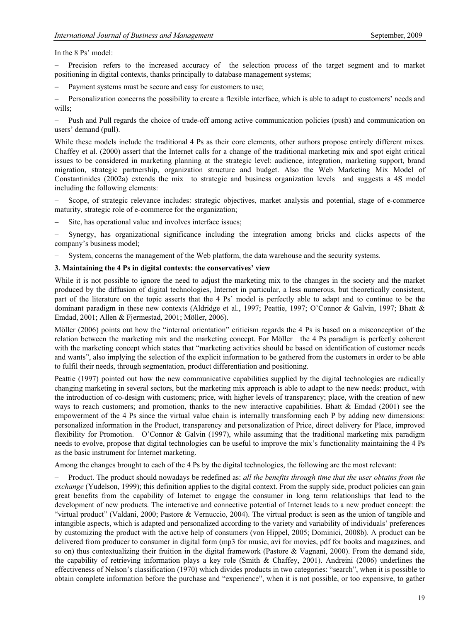#### In the 8 Ps' model:

 Precision refers to the increased accuracy of the selection process of the target segment and to market positioning in digital contexts, thanks principally to database management systems;

 $\overline{\phantom{a}}$ Payment systems must be secure and easy for customers to use;

 Personalization concerns the possibility to create a flexible interface, which is able to adapt to customers' needs and wills;

 Push and Pull regards the choice of trade-off among active communication policies (push) and communication on users' demand (pull).

While these models include the traditional 4 Ps as their core elements, other authors propose entirely different mixes. Chaffey et al. (2000) assert that the Internet calls for a change of the traditional marketing mix and spot eight critical issues to be considered in marketing planning at the strategic level: audience, integration, marketing support, brand migration, strategic partnership, organization structure and budget. Also the Web Marketing Mix Model of Constantinides (2002a) extends the mix to strategic and business organization levels and suggests a 4S model including the following elements:

 $\overline{\phantom{a}}$  Scope, of strategic relevance includes: strategic objectives, market analysis and potential, stage of e-commerce maturity, strategic role of e-commerce for the organization;

Site, has operational value and involves interface issues;

\_ Synergy, has organizational significance including the integration among bricks and clicks aspects of the company's business model;

 $\overline{\phantom{a}}$ System, concerns the management of the Web platform, the data warehouse and the security systems.

#### **3. Maintaining the 4 Ps in digital contexts: the conservatives' view**

While it is not possible to ignore the need to adjust the marketing mix to the changes in the society and the market produced by the diffusion of digital technologies, Internet in particular, a less numerous, but theoretically consistent, part of the literature on the topic asserts that the 4 Ps' model is perfectly able to adapt and to continue to be the dominant paradigm in these new contexts (Aldridge et al., 1997; Peattie, 1997; O'Connor & Galvin, 1997; Bhatt & Emdad, 2001; Allen & Fjermestad, 2001; Möller, 2006).

Möller (2006) points out how the "internal orientation" criticism regards the 4 Ps is based on a misconception of the relation between the marketing mix and the marketing concept. For Möller the 4 Ps paradigm is perfectly coherent with the marketing concept which states that "marketing activities should be based on identification of customer needs and wants", also implying the selection of the explicit information to be gathered from the customers in order to be able to fulfil their needs, through segmentation, product differentiation and positioning.

Peattie (1997) pointed out how the new communicative capabilities supplied by the digital technologies are radically changing marketing in several sectors, but the marketing mix approach is able to adapt to the new needs: product, with the introduction of co-design with customers; price, with higher levels of transparency; place, with the creation of new ways to reach customers; and promotion, thanks to the new interactive capabilities. Bhatt  $\&$  Emdad (2001) see the empowerment of the 4 Ps since the virtual value chain is internally transforming each P by adding new dimensions: personalized information in the Product, transparency and personalization of Price, direct delivery for Place, improved flexibility for Promotion. O'Connor & Galvin (1997), while assuming that the traditional marketing mix paradigm needs to evolve, propose that digital technologies can be useful to improve the mix's functionality maintaining the 4 Ps as the basic instrument for Internet marketing.

Among the changes brought to each of the 4 Ps by the digital technologies, the following are the most relevant:

 $\overline{\phantom{a}}$  Product. The product should nowadays be redefined as: *all the benefits through time that the user obtains from the exchange* (Yudelson, 1999); this definition applies to the digital context. From the supply side, product policies can gain great benefits from the capability of Internet to engage the consumer in long term relationships that lead to the development of new products. The interactive and connective potential of Internet leads to a new product concept: the "virtual product" (Valdani, 2000; Pastore & Vernuccio, 2004). The virtual product is seen as the union of tangible and intangible aspects, which is adapted and personalized according to the variety and variability of individuals' preferences by customizing the product with the active help of consumers (von Hippel, 2005; Dominici, 2008b). A product can be delivered from producer to consumer in digital form (mp3 for music, avi for movies, pdf for books and magazines, and so on) thus contextualizing their fruition in the digital framework (Pastore & Vagnani, 2000). From the demand side, the capability of retrieving information plays a key role (Smith & Chaffey, 2001). Andreini (2006) underlines the effectiveness of Nelson's classification (1970) which divides products in two categories: "search", when it is possible to obtain complete information before the purchase and "experience", when it is not possible, or too expensive, to gather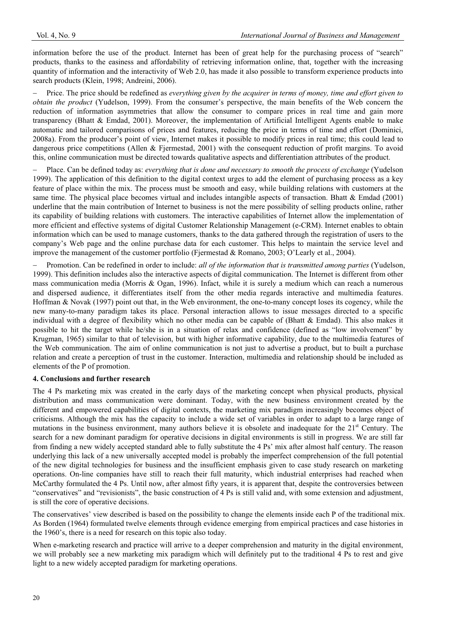information before the use of the product. Internet has been of great help for the purchasing process of "search" products, thanks to the easiness and affordability of retrieving information online, that, together with the increasing quantity of information and the interactivity of Web 2.0, has made it also possible to transform experience products into search products (Klein, 1998; Andreini, 2006).

 Price. The price should be redefined as *everything given by the acquirer in terms of money, time and effort given to obtain the product* (Yudelson, 1999). From the consumer's perspective, the main benefits of the Web concern the reduction of information asymmetries that allow the consumer to compare prices in real time and gain more transparency (Bhatt & Emdad, 2001). Moreover, the implementation of Artificial Intelligent Agents enable to make automatic and tailored comparisons of prices and features, reducing the price in terms of time and effort (Dominici, 2008a). From the producer's point of view, Internet makes it possible to modify prices in real time; this could lead to dangerous price competitions (Allen & Fjermestad, 2001) with the consequent reduction of profit margins. To avoid this, online communication must be directed towards qualitative aspects and differentiation attributes of the product.

 Place. Can be defined today as: *everything that is done and necessary to smooth the process of exchange* (Yudelson 1999). The application of this definition to the digital context urges to add the element of purchasing process as a key feature of place within the mix. The process must be smooth and easy, while building relations with customers at the same time. The physical place becomes virtual and includes intangible aspects of transaction. Bhatt & Emdad (2001) underline that the main contribution of Internet to business is not the mere possibility of selling products online, rather its capability of building relations with customers. The interactive capabilities of Internet allow the implementation of more efficient and effective systems of digital Customer Relationship Management (e-CRM). Internet enables to obtain information which can be used to manage customers, thanks to the data gathered through the registration of users to the company's Web page and the online purchase data for each customer. This helps to maintain the service level and improve the management of the customer portfolio (Fjermestad & Romano, 2003; O'Learly et al., 2004).

 Promotion. Can be redefined in order to include: *all of the information that is transmitted among parties* (Yudelson, 1999). This definition includes also the interactive aspects of digital communication. The Internet is different from other mass communication media (Morris & Ogan, 1996). Infact, while it is surely a medium which can reach a numerous and dispersed audience, it differentiates itself from the other media regards interactive and multimedia features. Hoffman & Novak (1997) point out that, in the Web environment, the one-to-many concept loses its cogency, while the new many-to-many paradigm takes its place. Personal interaction allows to issue messages directed to a specific individual with a degree of flexibility which no other media can be capable of (Bhatt & Emdad). This also makes it possible to hit the target while he/she is in a situation of relax and confidence (defined as "low involvement" by Krugman, 1965) similar to that of television, but with higher informative capability, due to the multimedia features of the Web communication. The aim of online communication is not just to advertise a product, but to built a purchase relation and create a perception of trust in the customer. Interaction, multimedia and relationship should be included as elements of the P of promotion.

#### **4. Conclusions and further research**

The 4 Ps marketing mix was created in the early days of the marketing concept when physical products, physical distribution and mass communication were dominant. Today, with the new business environment created by the different and empowered capabilities of digital contexts, the marketing mix paradigm increasingly becomes object of criticisms. Although the mix has the capacity to include a wide set of variables in order to adapt to a large range of mutations in the business environment, many authors believe it is obsolete and inadequate for the  $21<sup>st</sup>$  Century. The search for a new dominant paradigm for operative decisions in digital environments is still in progress. We are still far from finding a new widely accepted standard able to fully substitute the 4 Ps' mix after almost half century. The reason underlying this lack of a new universally accepted model is probably the imperfect comprehension of the full potential of the new digital technologies for business and the insufficient emphasis given to case study research on marketing operations. On-line companies have still to reach their full maturity, which industrial enterprises had reached when McCarthy formulated the 4 Ps. Until now, after almost fifty years, it is apparent that, despite the controversies between "conservatives" and "revisionists", the basic construction of 4 Ps is still valid and, with some extension and adjustment, is still the core of operative decisions.

The conservatives' view described is based on the possibility to change the elements inside each P of the traditional mix. As Borden (1964) formulated twelve elements through evidence emerging from empirical practices and case histories in the 1960's, there is a need for research on this topic also today.

When e-marketing research and practice will arrive to a deeper comprehension and maturity in the digital environment, we will probably see a new marketing mix paradigm which will definitely put to the traditional 4 Ps to rest and give light to a new widely accepted paradigm for marketing operations.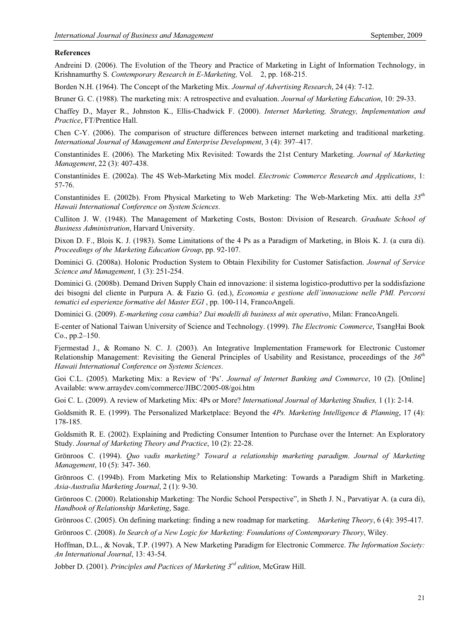### **References**

Andreini D. (2006). The Evolution of the Theory and Practice of Marketing in Light of Information Technology, in Krishnamurthy S. *Contemporary Research in E-Marketing,* Vol. 2, pp. 168-215.

Borden N.H. (1964). The Concept of the Marketing Mix. *Journal of Advertising Research*, 24 (4): 7-12.

Bruner G. C. (1988). The marketing mix: A retrospective and evaluation. *Journal of Marketing Education*, 10: 29-33.

Chaffey D., Mayer R., Johnston K., Ellis-Chadwick F. (2000). *Internet Marketing, Strategy, Implementation and Practice*, FT/Prentice Hall.

Chen C-Y. (2006). The comparison of structure differences between internet marketing and traditional marketing. *International Journal of Management and Enterprise Development*, 3 (4): 397–417.

Constantinides E. (2006). The Marketing Mix Revisited: Towards the 21st Century Marketing. *Journal of Marketing Management*, 22 (3): 407-438.

Constantinides E. (2002a). The 4S Web-Marketing Mix model. *Electronic Commerce Research and Applications*, 1: 57-76.

Constantinides E. (2002b). From Physical Marketing to Web Marketing: The Web-Marketing Mix. atti della *35th Hawaii International Conference on System Sciences*.

Culliton J. W. (1948). The Management of Marketing Costs, Boston: Division of Research. *Graduate School of Business Administration*, Harvard University.

Dixon D. F., Blois K. J. (1983). Some Limitations of the 4 Ps as a Paradigm of Marketing, in Blois K. J. (a cura di). *Proceedings of the Marketing Education Group*, pp. 92-107.

Dominici G. (2008a). Holonic Production System to Obtain Flexibility for Customer Satisfaction. *Journal of Service Science and Management*, 1 (3): 251-254.

Dominici G. (2008b). Demand Driven Supply Chain ed innovazione: il sistema logistico-produttivo per la soddisfazione dei bisogni del cliente in Purpura A. & Fazio G. (ed.), *Economia e gestione dell'innovazione nelle PMI. Percorsi tematici ed esperienze formative del Master EGI* , pp. 100-114, FrancoAngeli.

Dominici G. (2009). *E-marketing cosa cambia? Dai modelli di business al mix operativo*, Milan: FrancoAngeli.

E-center of National Taiwan University of Science and Technology. (1999). *The Electronic Commerce*, TsangHai Book Co., pp.2–150.

Fjermestad J., & Romano N. C. J. (2003). An Integrative Implementation Framework for Electronic Customer Relationship Management: Revisiting the General Principles of Usability and Resistance, proceedings of the *36th Hawaii International Conference on Systems Sciences*.

Goi C.L. (2005). Marketing Mix: a Review of 'Ps'. *Journal of Internet Banking and Commerce*, 10 (2). [Online] Available: www.arraydev.com/commerce/JIBC/2005-08/goi.htm

Goi C. L. (2009). A review of Marketing Mix: 4Ps or More? *International Journal of Marketing Studies,* 1 (1): 2-14.

Goldsmith R. E. (1999). The Personalized Marketplace: Beyond the *4Ps. Marketing Intelligence & Planning*, 17 (4): 178-185.

Goldsmith R. E. (2002). Explaining and Predicting Consumer Intention to Purchase over the Internet: An Exploratory Study. *Journal of Marketing Theory and Practice*, 10 (2): 22-28.

Grönroos C. (1994). *Quo vadis marketing? Toward a relationship marketing paradigm*. *Journal of Marketing Management*, 10 (5): 347- 360.

Grönroos C. (1994b). From Marketing Mix to Relationship Marketing: Towards a Paradigm Shift in Marketing. *Asia-Australia Marketing Journal*, 2 (1): 9-30.

Grönroos C. (2000). Relationship Marketing: The Nordic School Perspective", in Sheth J. N., Parvatiyar A. (a cura di), *Handbook of Relationship Marketing*, Sage.

Grönroos C. (2005). On defining marketing: finding a new roadmap for marketing. *Marketing Theory*, 6 (4): 395-417.

Grönroos C. (2008). *In Search of a New Logic for Marketing: Foundations of Contemporary Theory*, Wiley.

Hoffman, D.L., & Novak, T.P. (1997). A New Marketing Paradigm for Electronic Commerce. *The Information Society: An International Journal*, 13: 43-54.

Jobber D. (2001). *Principles and Pactices of Marketing 3rd edition*, McGraw Hill.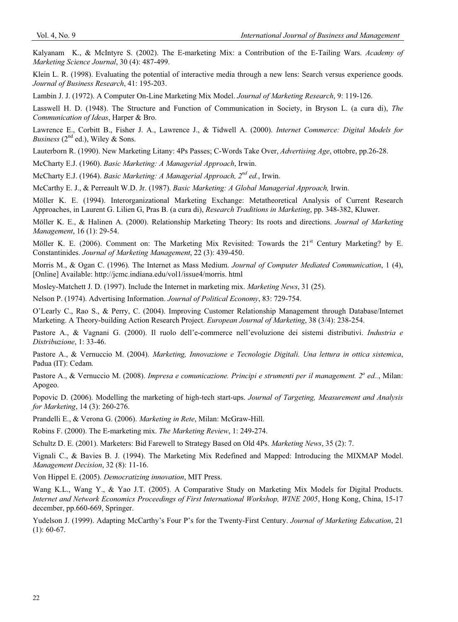Kalyanam K., & McIntyre S. (2002). The E-marketing Mix: a Contribution of the E-Tailing Wars. *Academy of Marketing Science Journal*, 30 (4): 487-499.

Klein L. R. (1998). Evaluating the potential of interactive media through a new lens: Search versus experience goods. *Journal of Business Research*, 41: 195-203.

Lambin J. J. (1972). A Computer On-Line Marketing Mix Model. *Journal of Marketing Research*, 9: 119-126.

Lasswell H. D. (1948). The Structure and Function of Communication in Society, in Bryson L. (a cura di), *The Communication of Ideas*, Harper & Bro.

Lawrence E., Corbitt B., Fisher J. A., Lawrence J., & Tidwell A. (2000). *Internet Commerce: Digital Models for Business* ( $2^{nd}$  ed.), Wiley & Sons.

Lauterborn R. (1990). New Marketing Litany: 4Ps Passes; C-Words Take Over, *Advertising Age*, ottobre, pp.26-28.

McCharty E.J. (1960). *Basic Marketing: A Managerial Approach*, Irwin.

McCharty E.J. (1964). *Basic Marketing: A Managerial Approach, 2nd ed.*, Irwin.

McCarthy E. J., & Perreault W.D. Jr. (1987). *Basic Marketing: A Global Managerial Approach,* Irwin.

Möller K. E. (1994). Interorganizational Marketing Exchange: Metatheoretical Analysis of Current Research Approaches, in Laurent G. Lilien G, Pras B. (a cura di), *Research Traditions in Marketing*, pp. 348-382, Kluwer.

Möller K. E., & Halinen A. (2000). Relationship Marketing Theory: Its roots and directions. *Journal of Marketing Management*, 16 (1): 29-54.

Möller K. E. (2006). Comment on: The Marketing Mix Revisited: Towards the 21<sup>st</sup> Century Marketing? by E. Constantinides. *Journal of Marketing Management*, 22 (3): 439-450.

Morris M., & Ogan C. (1996). The Internet as Mass Medium. *Journal of Computer Mediated Communication*, 1 (4), [Online] Available: http://jcmc.indiana.edu/vol1/issue4/morris. html

Mosley-Matchett J. D. (1997). Include the Internet in marketing mix. *Marketing News*, 31 (25).

Nelson P. (1974). Advertising Information. *Journal of Political Economy*, 83: 729-754.

O'Learly C., Rao S., & Perry, C. (2004). Improving Customer Relationship Management through Database/Internet Marketing. A Theory-building Action Research Project. *European Journal of Marketing*, 38 (3/4): 238-254.

Pastore A., & Vagnani G. (2000). Il ruolo dell'e-commerce nell'evoluzione dei sistemi distributivi. *Industria e Distribuzione*, 1: 33-46.

Pastore A., & Vernuccio M. (2004). *Marketing, Innovazione e Tecnologie Digitali. Una lettura in ottica sistemica*, Padua (IT): Cedam.

Pastore A., & Vernuccio M. (2008). *Impresa e comunicazione. Principi e strumenti per il management. 2<sup>ª</sup> ed.., Milan:* Apogeo.

Popovic D. (2006). Modelling the marketing of high-tech start-ups. *Journal of Targeting, Measurement and Analysis for Marketing*, 14 (3): 260-276.

Prandelli E., & Verona G. (2006). *Marketing in Rete*, Milan: McGraw-Hill.

Robins F. (2000). The E-marketing mix. *The Marketing Review*, 1: 249-274.

Schultz D. E. (2001). Marketers: Bid Farewell to Strategy Based on Old 4Ps. *Marketing News*, 35 (2): 7.

Vignali C., & Bavies B. J. (1994). The Marketing Mix Redefined and Mapped: Introducing the MIXMAP Model. *Management Decision*, 32 (8): 11-16.

Von Hippel E. (2005). *Democratizing innovation*, MIT Press.

Wang K.L., Wang Y., & Yao J.T. (2005). A Comparative Study on Marketing Mix Models for Digital Products. *Internet and Network Economics Proceedings of First International Workshop, WINE 2005*, Hong Kong, China, 15-17 december, pp.660-669, Springer.

Yudelson J. (1999). Adapting McCarthy's Four P's for the Twenty-First Century. *Journal of Marketing Education*, 21 (1): 60-67.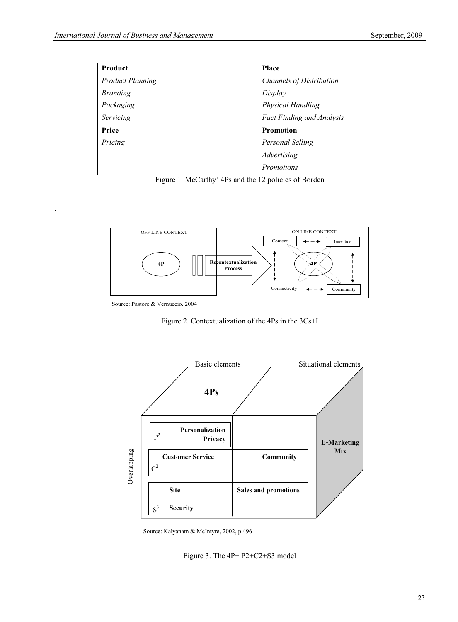.

| <b>Product</b>          | <b>Place</b>                     |
|-------------------------|----------------------------------|
| <b>Product Planning</b> | <b>Channels of Distribution</b>  |
| <i>Branding</i>         | Display                          |
| Packaging               | <b>Physical Handling</b>         |
| Servicing               | <b>Fact Finding and Analysis</b> |
| Price                   | <b>Promotion</b>                 |
| Pricing                 | Personal Selling                 |
|                         | Advertising                      |
|                         | <b>Promotions</b>                |

Figure 1. McCarthy' 4Ps and the 12 policies of Borden



Source: Pastore & Vernuccio, 2004





Source: Kalyanam & McIntyre, 2002, p.496

Figure 3. The 4P+ P2+C2+S3 model